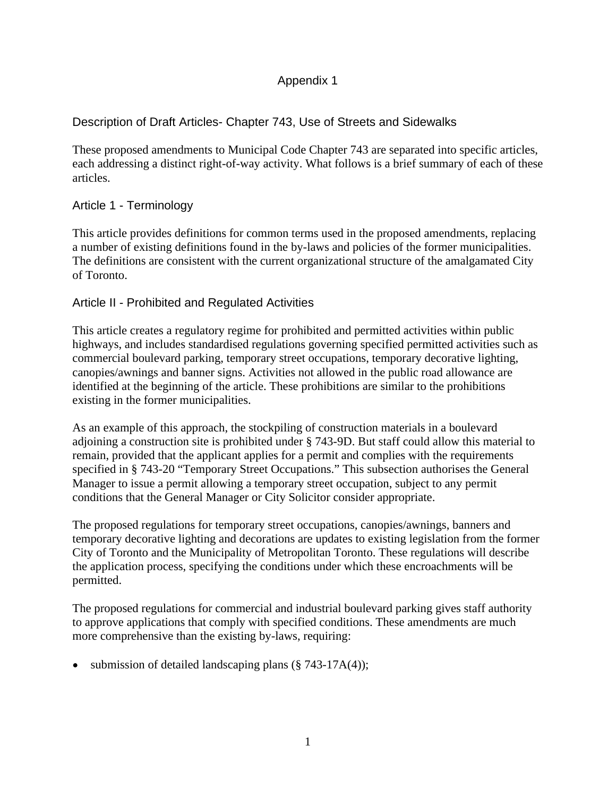# Appendix 1

# Description of Draft Articles- Chapter 743, Use of Streets and Sidewalks

These proposed amendments to Municipal Code Chapter 743 are separated into specific articles, each addressing a distinct right-of-way activity. What follows is a brief summary of each of these articles.

# Article 1 - Terminology

This article provides definitions for common terms used in the proposed amendments, replacing a number of existing definitions found in the by-laws and policies of the former municipalities. The definitions are consistent with the current organizational structure of the amalgamated City of Toronto.

# Article II - Prohibited and Regulated Activities

This article creates a regulatory regime for prohibited and permitted activities within public highways, and includes standardised regulations governing specified permitted activities such as commercial boulevard parking, temporary street occupations, temporary decorative lighting, canopies/awnings and banner signs. Activities not allowed in the public road allowance are identified at the beginning of the article. These prohibitions are similar to the prohibitions existing in the former municipalities.

As an example of this approach, the stockpiling of construction materials in a boulevard adjoining a construction site is prohibited under § 743-9D. But staff could allow this material to remain, provided that the applicant applies for a permit and complies with the requirements specified in § 743-20 "Temporary Street Occupations." This subsection authorises the General Manager to issue a permit allowing a temporary street occupation, subject to any permit conditions that the General Manager or City Solicitor consider appropriate.

The proposed regulations for temporary street occupations, canopies/awnings, banners and temporary decorative lighting and decorations are updates to existing legislation from the former City of Toronto and the Municipality of Metropolitan Toronto. These regulations will describe the application process, specifying the conditions under which these encroachments will be permitted.

The proposed regulations for commercial and industrial boulevard parking gives staff authority to approve applications that comply with specified conditions. These amendments are much more comprehensive than the existing by-laws, requiring:

• submission of detailed landscaping plans  $(\S 743-17A(4))$ ;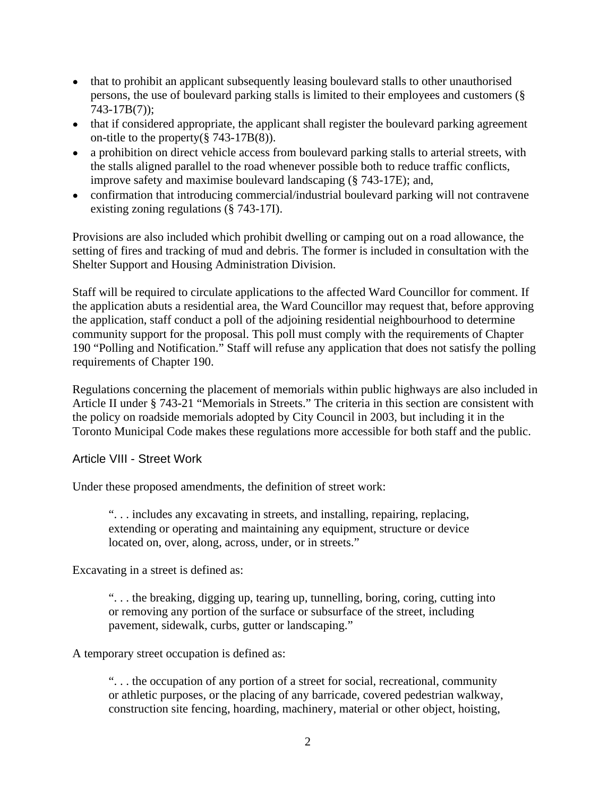- that to prohibit an applicant subsequently leasing boulevard stalls to other unauthorised persons, the use of boulevard parking stalls is limited to their employees and customers (§ 743-17B(7));
- that if considered appropriate, the applicant shall register the boulevard parking agreement on-title to the property(§ 743-17B(8)).
- a prohibition on direct vehicle access from boulevard parking stalls to arterial streets, with the stalls aligned parallel to the road whenever possible both to reduce traffic conflicts, improve safety and maximise boulevard landscaping (§ 743-17E); and,
- confirmation that introducing commercial/industrial boulevard parking will not contravene existing zoning regulations (§ 743-17I).

Provisions are also included which prohibit dwelling or camping out on a road allowance, the setting of fires and tracking of mud and debris. The former is included in consultation with the Shelter Support and Housing Administration Division.

Staff will be required to circulate applications to the affected Ward Councillor for comment. If the application abuts a residential area, the Ward Councillor may request that, before approving the application, staff conduct a poll of the adjoining residential neighbourhood to determine community support for the proposal. This poll must comply with the requirements of Chapter 190 "Polling and Notification." Staff will refuse any application that does not satisfy the polling requirements of Chapter 190.

Regulations concerning the placement of memorials within public highways are also included in Article II under § 743-21 "Memorials in Streets." The criteria in this section are consistent with the policy on roadside memorials adopted by City Council in 2003, but including it in the Toronto Municipal Code makes these regulations more accessible for both staff and the public.

Article VIII - Street Work

Under these proposed amendments, the definition of street work:

". . . includes any excavating in streets, and installing, repairing, replacing, extending or operating and maintaining any equipment, structure or device located on, over, along, across, under, or in streets."

Excavating in a street is defined as:

". . . the breaking, digging up, tearing up, tunnelling, boring, coring, cutting into or removing any portion of the surface or subsurface of the street, including pavement, sidewalk, curbs, gutter or landscaping."

A temporary street occupation is defined as:

". . . the occupation of any portion of a street for social, recreational, community or athletic purposes, or the placing of any barricade, covered pedestrian walkway, construction site fencing, hoarding, machinery, material or other object, hoisting,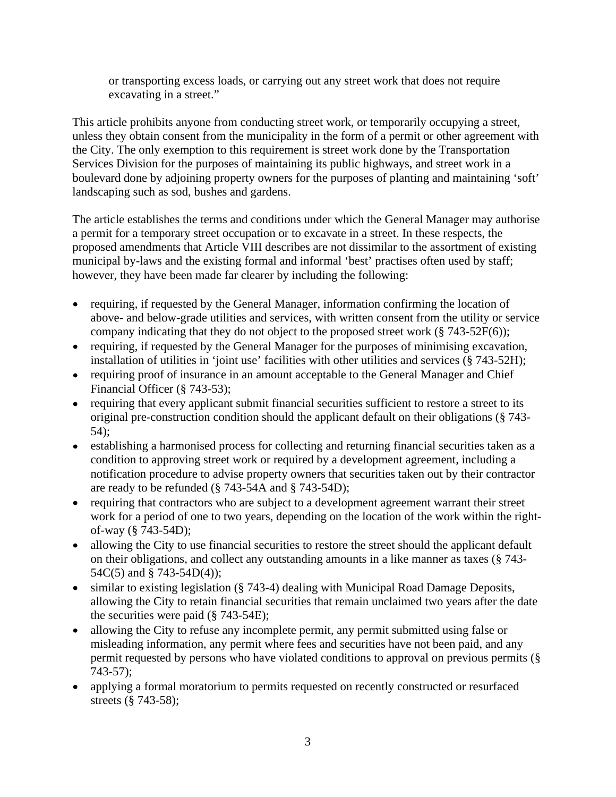or transporting excess loads, or carrying out any street work that does not require excavating in a street."

This article prohibits anyone from conducting street work, or temporarily occupying a street, unless they obtain consent from the municipality in the form of a permit or other agreement with the City. The only exemption to this requirement is street work done by the Transportation Services Division for the purposes of maintaining its public highways, and street work in a boulevard done by adjoining property owners for the purposes of planting and maintaining 'soft' landscaping such as sod, bushes and gardens.

The article establishes the terms and conditions under which the General Manager may authorise a permit for a temporary street occupation or to excavate in a street. In these respects, the proposed amendments that Article VIII describes are not dissimilar to the assortment of existing municipal by-laws and the existing formal and informal 'best' practises often used by staff; however, they have been made far clearer by including the following:

- requiring, if requested by the General Manager, information confirming the location of above- and below-grade utilities and services, with written consent from the utility or service company indicating that they do not object to the proposed street work  $(\S 743-52F(6))$ ;
- requiring, if requested by the General Manager for the purposes of minimising excavation, installation of utilities in 'joint use' facilities with other utilities and services (§ 743-52H);
- requiring proof of insurance in an amount acceptable to the General Manager and Chief Financial Officer (§ 743-53);
- requiring that every applicant submit financial securities sufficient to restore a street to its original pre-construction condition should the applicant default on their obligations (§ 743- 54);
- establishing a harmonised process for collecting and returning financial securities taken as a condition to approving street work or required by a development agreement, including a notification procedure to advise property owners that securities taken out by their contractor are ready to be refunded (§ 743-54A and § 743-54D);
- requiring that contractors who are subject to a development agreement warrant their street work for a period of one to two years, depending on the location of the work within the right of-way (§ 743-54D);
- allowing the City to use financial securities to restore the street should the applicant default on their obligations, and collect any outstanding amounts in a like manner as taxes (§ 743- 54C(5) and § 743-54D(4));
- similar to existing legislation (§ 743-4) dealing with Municipal Road Damage Deposits, allowing the City to retain financial securities that remain unclaimed two years after the date the securities were paid (§ 743-54E);
- allowing the City to refuse any incomplete permit, any permit submitted using false or  $\bullet$ misleading information, any permit where fees and securities have not been paid, and any permit requested by persons who have violated conditions to approval on previous permits (§ 743-57);
- applying a formal moratorium to permits requested on recently constructed or resurfaced streets (§ 743-58);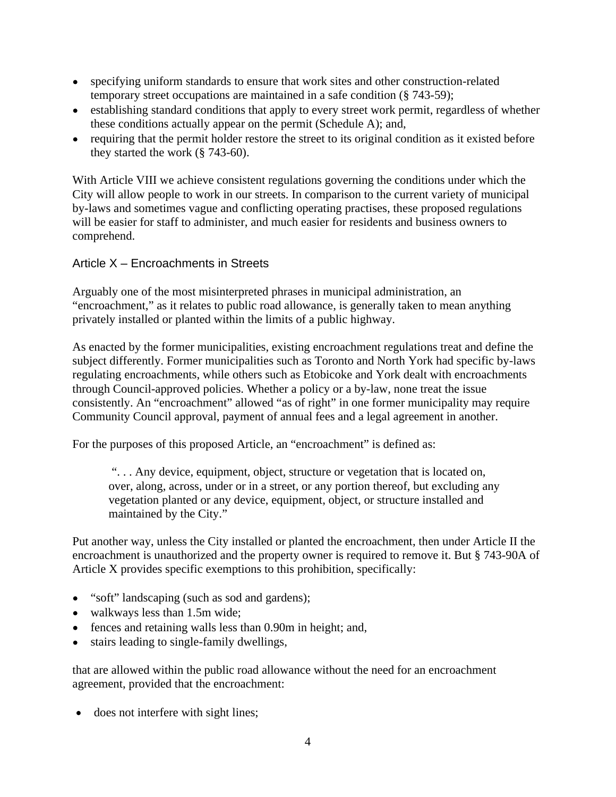- specifying uniform standards to ensure that work sites and other construction-related temporary street occupations are maintained in a safe condition (§ 743-59);
- establishing standard conditions that apply to every street work permit, regardless of whether these conditions actually appear on the permit (Schedule A); and,
- requiring that the permit holder restore the street to its original condition as it existed before they started the work (§ 743-60).

With Article VIII we achieve consistent regulations governing the conditions under which the City will allow people to work in our streets. In comparison to the current variety of municipal by-laws and sometimes vague and conflicting operating practises, these proposed regulations will be easier for staff to administer, and much easier for residents and business owners to comprehend.

Article X – Encroachments in Streets<br>Arguably one of the most misinterpreted phrases in municipal administration, an "encroachment," as it relates to public road allowance, is generally taken to mean anything privately installed or planted within the limits of a public highway.

As enacted by the former municipalities, existing encroachment regulations treat and define the subject differently. Former municipalities such as Toronto and North York had specific by-laws regulating encroachments, while others such as Etobicoke and York dealt with encroachments through Council-approved policies. Whether a policy or a by-law, none treat the issue consistently. An "encroachment" allowed "as of right" in one former municipality may require Community Council approval, payment of annual fees and a legal agreement in another.

For the purposes of this proposed Article, an "encroachment" is defined as:

". . . Any device, equipment, object, structure or vegetation that is located on, over, along, across, under or in a street, or any portion thereof, but excluding any vegetation planted or any device, equipment, object, or structure installed and maintained by the City."

Put another way, unless the City installed or planted the encroachment, then under Article II the encroachment is unauthorized and the property owner is required to remove it. But § 743-90A of Article X provides specific exemptions to this prohibition, specifically:

- "soft" landscaping (such as sod and gardens);
- walkways less than 1.5m wide;
- fences and retaining walls less than 0.90m in height; and,
- stairs leading to single-family dwellings,  $\bullet$

that are allowed within the public road allowance without the need for an encroachment agreement, provided that the encroachment:

• does not interfere with sight lines;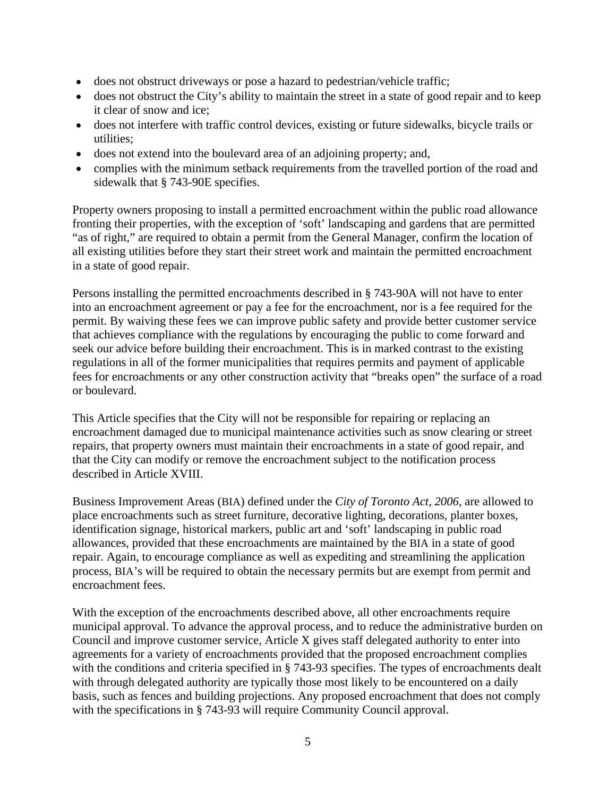- does not obstruct driveways or pose a hazard to pedestrian/vehicle traffic;
- does not obstruct the City's ability to maintain the street in a state of good repair and to keep it clear of snow and ice;
- does not interfere with traffic control devices, existing or future sidewalks, bicycle trails or utilities;
- does not extend into the boulevard area of an adjoining property; and,
- complies with the minimum setback requirements from the travelled portion of the road and sidewalk that § 743-90E specifies.

Property owners proposing to install a permitted encroachment within the public road allowance fronting their properties, with the exception of 'soft' landscaping and gardens that are permitted "as of right," are required to obtain a permit from the General Manager, confirm the location of all existing utilities before they start their street work and maintain the permitted encroachment in a state of good repair.

Persons installing the permitted encroachments described in § 743-90A will not have to enter into an encroachment agreement or pay a fee for the encroachment, nor is a fee required for the permit. By waiving these fees we can improve public safety and provide better customer service that achieves compliance with the regulations by encouraging the public to come forward and seek our advice before building their encroachment. This is in marked contrast to the existing regulations in all of the former municipalities that requires permits and payment of applicable fees for encroachments or any other construction activity that "breaks open" the surface of a road or boulevard.

This Article specifies that the City will not be responsible for repairing or replacing an encroachment damaged due to municipal maintenance activities such as snow clearing or street repairs, that property owners must maintain their encroachments in a state of good repair, and that the City can modify or remove the encroachment subject to the notification process described in Article XVIII.

Business Improvement Areas (BIA) defined under the *City of Toronto Act, 2006*, are allowed to place encroachments such as street furniture, decorative lighting, decorations, planter boxes, identification signage, historical markers, public art and 'soft' landscaping in public road allowances, provided that these encroachments are maintained by the BIA in a state of good repair. Again, to encourage compliance as well as expediting and streamlining the application process, BIA's will be required to obtain the necessary permits but are exempt from permit and encroachment fees.

With the exception of the encroachments described above, all other encroachments require municipal approval. To advance the approval process, and to reduce the administrative burden on Council and improve customer service, Article X gives staff delegated authority to enter into agreements for a variety of encroachments provided that the proposed encroachment complies with the conditions and criteria specified in § 743-93 specifies. The types of encroachments dealt with through delegated authority are typically those most likely to be encountered on a daily basis, such as fences and building projections. Any proposed encroachment that does not comply with the specifications in § 743-93 will require Community Council approval.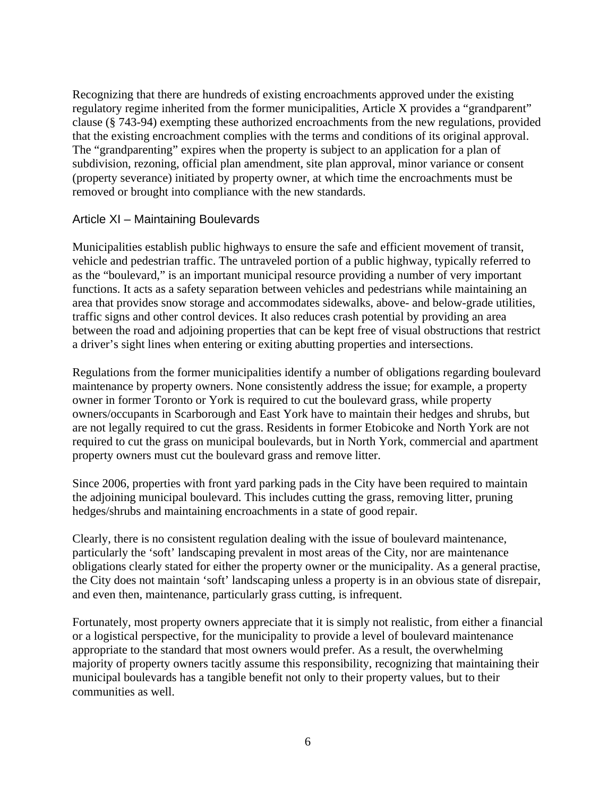Recognizing that there are hundreds of existing encroachments approved under the existing regulatory regime inherited from the former municipalities, Article X provides a "grandparent" clause (§ 743-94) exempting these authorized encroachments from the new regulations, provided that the existing encroachment complies with the terms and conditions of its original approval. The "grandparenting" expires when the property is subject to an application for a plan of subdivision, rezoning, official plan amendment, site plan approval, minor variance or consent (property severance) initiated by property owner, at which time the encroachments must be removed or brought into compliance with the new standards.

#### Article XI – Maintaining Boulevards

Municipalities establish public highways to ensure the safe and efficient movement of transit, vehicle and pedestrian traffic. The untraveled portion of a public highway, typically referred to as the "boulevard," is an important municipal resource providing a number of very important functions. It acts as a safety separation between vehicles and pedestrians while maintaining an area that provides snow storage and accommodates sidewalks, above- and below-grade utilities, traffic signs and other control devices. It also reduces crash potential by providing an area between the road and adjoining properties that can be kept free of visual obstructions that restrict a driver's sight lines when entering or exiting abutting properties and intersections.

Regulations from the former municipalities identify a number of obligations regarding boulevard maintenance by property owners. None consistently address the issue; for example, a property owner in former Toronto or York is required to cut the boulevard grass, while property owners/occupants in Scarborough and East York have to maintain their hedges and shrubs, but are not legally required to cut the grass. Residents in former Etobicoke and North York are not required to cut the grass on municipal boulevards, but in North York, commercial and apartment property owners must cut the boulevard grass and remove litter.

Since 2006, properties with front yard parking pads in the City have been required to maintain the adjoining municipal boulevard. This includes cutting the grass, removing litter, pruning hedges/shrubs and maintaining encroachments in a state of good repair.

Clearly, there is no consistent regulation dealing with the issue of boulevard maintenance, particularly the 'soft' landscaping prevalent in most areas of the City, nor are maintenance obligations clearly stated for either the property owner or the municipality. As a general practise, the City does not maintain 'soft' landscaping unless a property is in an obvious state of disrepair, and even then, maintenance, particularly grass cutting, is infrequent.

Fortunately, most property owners appreciate that it is simply not realistic, from either a financial or a logistical perspective, for the municipality to provide a level of boulevard maintenance appropriate to the standard that most owners would prefer. As a result, the overwhelming majority of property owners tacitly assume this responsibility, recognizing that maintaining their municipal boulevards has a tangible benefit not only to their property values, but to their communities as well.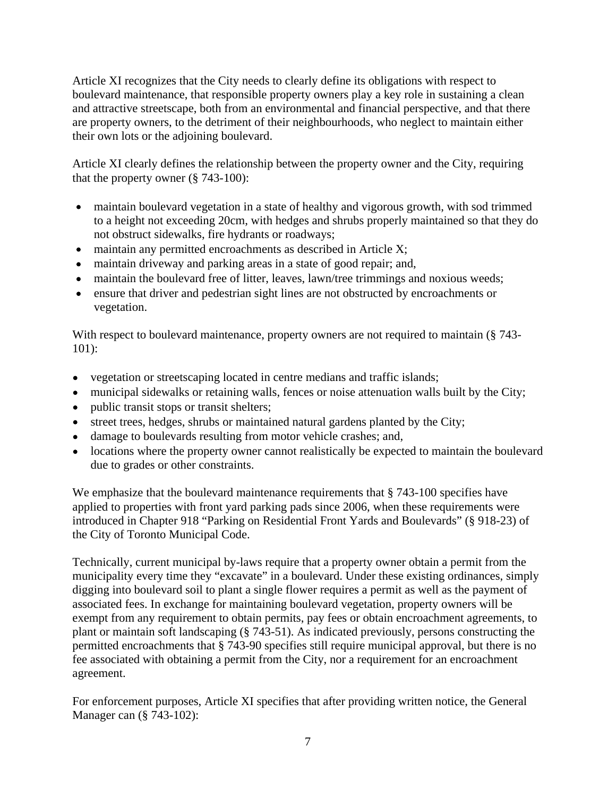Article XI recognizes that the City needs to clearly define its obligations with respect to boulevard maintenance, that responsible property owners play a key role in sustaining a clean and attractive streetscape, both from an environmental and financial perspective, and that there are property owners, to the detriment of their neighbourhoods, who neglect to maintain either their own lots or the adjoining boulevard.

Article XI clearly defines the relationship between the property owner and the City, requiring that the property owner (§ 743-100):

- maintain boulevard vegetation in a state of healthy and vigorous growth, with sod trimmed to a height not exceeding 20cm, with hedges and shrubs properly maintained so that they do not obstruct sidewalks, fire hydrants or roadways;
- maintain any permitted encroachments as described in Article X;
- maintain driveway and parking areas in a state of good repair; and,
- maintain the boulevard free of litter, leaves, lawn/tree trimmings and noxious weeds;
- ensure that driver and pedestrian sight lines are not obstructed by encroachments or vegetation.

With respect to boulevard maintenance, property owners are not required to maintain (§ 743-101):

- vegetation or streetscaping located in centre medians and traffic islands;
- municipal sidewalks or retaining walls, fences or noise attenuation walls built by the City;
- public transit stops or transit shelters;
- street trees, hedges, shrubs or maintained natural gardens planted by the City;
- damage to boulevards resulting from motor vehicle crashes; and,
- locations where the property owner cannot realistically be expected to maintain the boulevard due to grades or other constraints.

We emphasize that the boulevard maintenance requirements that § 743-100 specifies have applied to properties with front yard parking pads since 2006, when these requirements were introduced in Chapter 918 "Parking on Residential Front Yards and Boulevards" (§ 918-23) of the City of Toronto Municipal Code.

Technically, current municipal by-laws require that a property owner obtain a permit from the municipality every time they "excavate" in a boulevard. Under these existing ordinances, simply digging into boulevard soil to plant a single flower requires a permit as well as the payment of associated fees. In exchange for maintaining boulevard vegetation, property owners will be exempt from any requirement to obtain permits, pay fees or obtain encroachment agreements, to plant or maintain soft landscaping (§ 743-51). As indicated previously, persons constructing the permitted encroachments that § 743-90 specifies still require municipal approval, but there is no fee associated with obtaining a permit from the City, nor a requirement for an encroachment agreement.

For enforcement purposes, Article XI specifies that after providing written notice, the General Manager can (§ 743-102):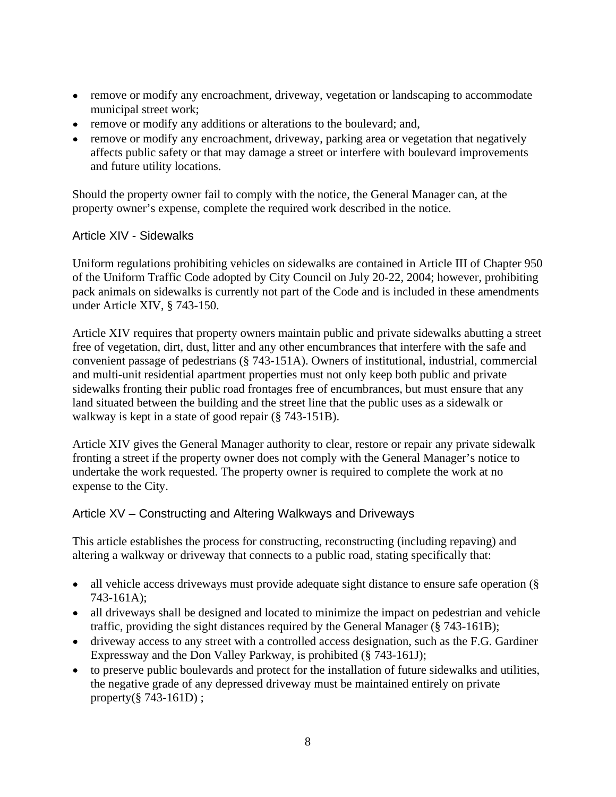- remove or modify any encroachment, driveway, vegetation or landscaping to accommodate municipal street work;
- remove or modify any additions or alterations to the boulevard; and,
- remove or modify any encroachment, driveway, parking area or vegetation that negatively affects public safety or that may damage a street or interfere with boulevard improvements and future utility locations.

Should the property owner fail to comply with the notice, the General Manager can, at the property owner's expense, complete the required work described in the notice.

## Article XIV - Sidewalks

Uniform regulations prohibiting vehicles on sidewalks are contained in Article III of Chapter 950 of the Uniform Traffic Code adopted by City Council on July 20-22, 2004; however, prohibiting pack animals on sidewalks is currently not part of the Code and is included in these amendments under Article XIV, § 743-150.

Article XIV requires that property owners maintain public and private sidewalks abutting a street free of vegetation, dirt, dust, litter and any other encumbrances that interfere with the safe and convenient passage of pedestrians (§ 743-151A). Owners of institutional, industrial, commercial and multi-unit residential apartment properties must not only keep both public and private sidewalks fronting their public road frontages free of encumbrances, but must ensure that any land situated between the building and the street line that the public uses as a sidewalk or walkway is kept in a state of good repair (§ 743-151B).

Article XIV gives the General Manager authority to clear, restore or repair any private sidewalk fronting a street if the property owner does not comply with the General Manager's notice to undertake the work requested. The property owner is required to complete the work at no expense to the City.

## Article XV – Constructing and Altering Walkways and Driveways

This article establishes the process for constructing, reconstructing (including repaving) and altering a walkway or driveway that connects to a public road, stating specifically that:

- all vehicle access driveways must provide adequate sight distance to ensure safe operation (§ 743-161A);
- all driveways shall be designed and located to minimize the impact on pedestrian and vehicle traffic, providing the sight distances required by the General Manager (§ 743-161B);
- driveway access to any street with a controlled access designation, such as the F.G. Gardiner Expressway and the Don Valley Parkway, is prohibited (§ 743-161J);
- to preserve public boulevards and protect for the installation of future sidewalks and utilities, the negative grade of any depressed driveway must be maintained entirely on private property(§ 743-161D) ;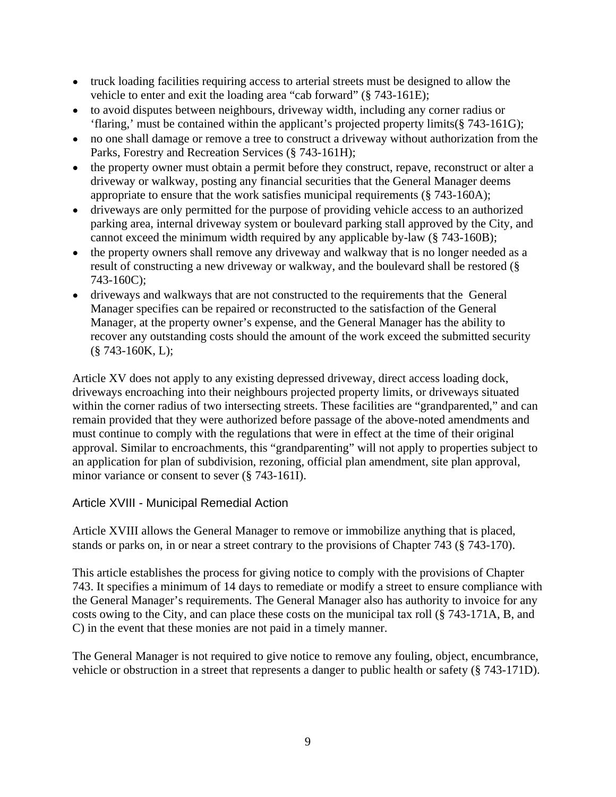- truck loading facilities requiring access to arterial streets must be designed to allow the vehicle to enter and exit the loading area "cab forward" (§ 743-161E);
- to avoid disputes between neighbours, driveway width, including any corner radius or 'flaring,' must be contained within the applicant's projected property limits(§ 743-161G);
- no one shall damage or remove a tree to construct a driveway without authorization from the Parks, Forestry and Recreation Services (§ 743-161H);
- the property owner must obtain a permit before they construct, repave, reconstruct or alter a  $\bullet$ driveway or walkway, posting any financial securities that the General Manager deems appropriate to ensure that the work satisfies municipal requirements (§ 743-160A);
- driveways are only permitted for the purpose of providing vehicle access to an authorized  $\bullet$ parking area, internal driveway system or boulevard parking stall approved by the City, and cannot exceed the minimum width required by any applicable by-law (§ 743-160B);
- the property owners shall remove any driveway and walkway that is no longer needed as a  $\bullet$ result of constructing a new driveway or walkway, and the boulevard shall be restored (§ 743-160C);
- driveways and walkways that are not constructed to the requirements that the General Manager specifies can be repaired or reconstructed to the satisfaction of the General Manager, at the property owner's expense, and the General Manager has the ability to recover any outstanding costs should the amount of the work exceed the submitted security (§ 743-160K, L);

Article XV does not apply to any existing depressed driveway, direct access loading dock, driveways encroaching into their neighbours projected property limits, or driveways situated within the corner radius of two intersecting streets. These facilities are "grandparented," and can remain provided that they were authorized before passage of the above-noted amendments and must continue to comply with the regulations that were in effect at the time of their original approval. Similar to encroachments, this "grandparenting" will not apply to properties subject to an application for plan of subdivision, rezoning, official plan amendment, site plan approval, minor variance or consent to sever (§ 743-161I).

# Article XVIII - Municipal Remedial Action

Article XVIII allows the General Manager to remove or immobilize anything that is placed, stands or parks on, in or near a street contrary to the provisions of Chapter 743 (§ 743-170).

This article establishes the process for giving notice to comply with the provisions of Chapter 743. It specifies a minimum of 14 days to remediate or modify a street to ensure compliance with the General Manager's requirements. The General Manager also has authority to invoice for any costs owing to the City, and can place these costs on the municipal tax roll (§ 743-171A, B, and C) in the event that these monies are not paid in a timely manner.

The General Manager is not required to give notice to remove any fouling, object, encumbrance, vehicle or obstruction in a street that represents a danger to public health or safety (§ 743-171D).